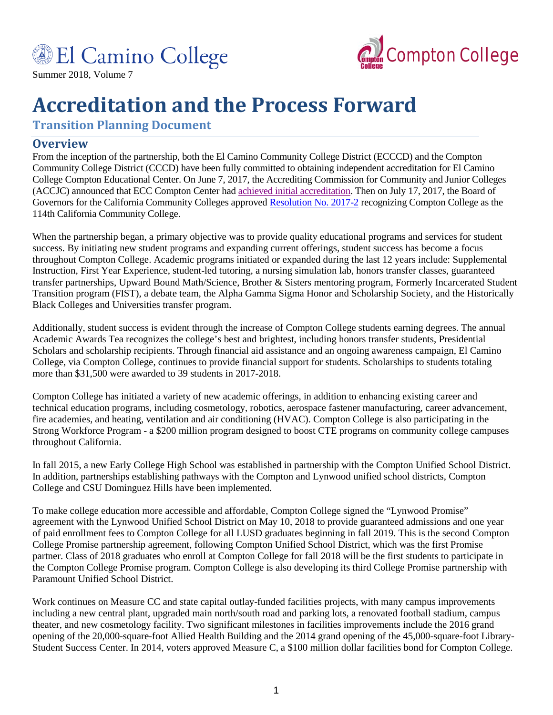



Summer 2018, Volume 7

# **Accreditation and the Process Forward**

**Transition Planning Document**

# **Overview**

From the inception of the partnership, both the El Camino Community College District (ECCCD) and the Compton Community College District (CCCD) have been fully committed to obtaining independent accreditation for El Camino College Compton Educational Center. On June 7, 2017, the Accrediting Commission for Community and Junior Colleges (ACCJC) announced that ECC Compton Center had [achieved initial accreditation.](http://www.compton.edu/campusinformation/accreditation/docs/Compton-Action-Letter.pdf) Then on July 17, 2017, the Board of Governors for the California Community Colleges approved [Resolution No. 2017-2](http://www.compton.edu/campusinformation/accreditation/docs/BOG-Resolution-No-2017-02.pdf) recognizing Compton College as the 114th California Community College.

When the partnership began, a primary objective was to provide quality educational programs and services for student success. By initiating new student programs and expanding current offerings, student success has become a focus throughout Compton College. Academic programs initiated or expanded during the last 12 years include: Supplemental Instruction, First Year Experience, student-led tutoring, a nursing simulation lab, honors transfer classes, guaranteed transfer partnerships, Upward Bound Math/Science, Brother & Sisters mentoring program, Formerly Incarcerated Student Transition program (FIST), a debate team, the Alpha Gamma Sigma Honor and Scholarship Society, and the Historically Black Colleges and Universities transfer program.

Additionally, student success is evident through the increase of Compton College students earning degrees. The annual Academic Awards Tea recognizes the college's best and brightest, including honors transfer students, Presidential Scholars and scholarship recipients. Through financial aid assistance and an ongoing awareness campaign, El Camino College, via Compton College, continues to provide financial support for students. Scholarships to students totaling more than \$31,500 were awarded to 39 students in 2017-2018.

Compton College has initiated a variety of new academic offerings, in addition to enhancing existing career and technical education programs, including cosmetology, robotics, aerospace fastener manufacturing, career advancement, fire academies, and heating, ventilation and air conditioning (HVAC). Compton College is also participating in the Strong Workforce Program - a \$200 million program designed to boost CTE programs on community college campuses throughout California.

In fall 2015, a new Early College High School was established in partnership with the Compton Unified School District. In addition, partnerships establishing pathways with the Compton and Lynwood unified school districts, Compton College and CSU Dominguez Hills have been implemented.

To make college education more accessible and affordable, Compton College signed the "Lynwood Promise" agreement with the Lynwood Unified School District on May 10, 2018 to provide guaranteed admissions and one year of paid enrollment fees to Compton College for all LUSD graduates beginning in fall 2019. This is the second Compton College Promise partnership agreement, following Compton Unified School District, which was the first Promise partner. Class of 2018 graduates who enroll at Compton College for fall 2018 will be the first students to participate in the Compton College Promise program. Compton College is also developing its third College Promise partnership with Paramount Unified School District.

Work continues on Measure CC and state capital outlay-funded facilities projects, with many campus improvements including a new central plant, upgraded main north/south road and parking lots, a renovated football stadium, campus theater, and new cosmetology facility. Two significant milestones in facilities improvements include the 2016 grand opening of the 20,000-square-foot Allied Health Building and the 2014 grand opening of the 45,000-square-foot Library-Student Success Center. In 2014, voters approved Measure C, a \$100 million dollar facilities bond for Compton College.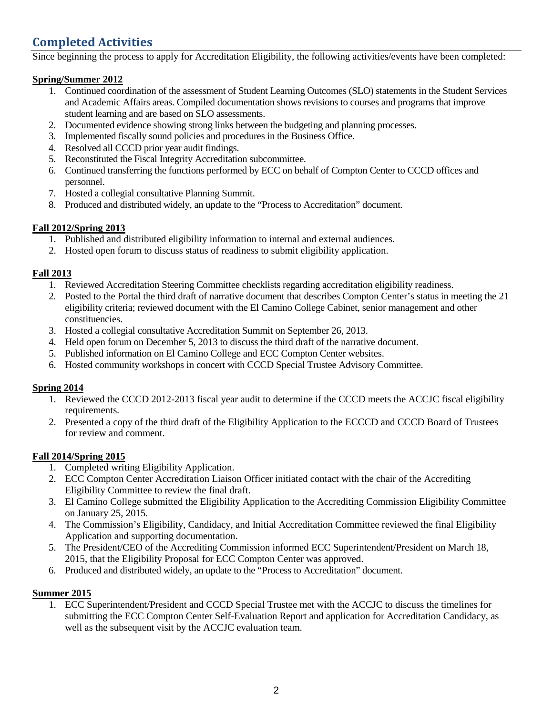# **Completed Activities**

Since beginning the process to apply for Accreditation Eligibility, the following activities/events have been completed:

#### **Spring/Summer 2012**

- 1. Continued coordination of the assessment of Student Learning Outcomes (SLO) statements in the Student Services and Academic Affairs areas. Compiled documentation shows revisions to courses and programs that improve student learning and are based on SLO assessments.
- 2. Documented evidence showing strong links between the budgeting and planning processes.
- 3. Implemented fiscally sound policies and procedures in the Business Office.
- 4. Resolved all CCCD prior year audit findings.
- 5. Reconstituted the Fiscal Integrity Accreditation subcommittee.
- 6. Continued transferring the functions performed by ECC on behalf of Compton Center to CCCD offices and personnel.
- 7. Hosted a collegial consultative Planning Summit.
- 8. Produced and distributed widely, an update to the "Process to Accreditation" document.

## **Fall 2012/Spring 2013**

- 1. Published and distributed eligibility information to internal and external audiences.
- 2. Hosted open forum to discuss status of readiness to submit eligibility application.

#### **Fall 2013**

- 1. Reviewed Accreditation Steering Committee checklists regarding accreditation eligibility readiness.
- 2. Posted to the Portal the third draft of narrative document that describes Compton Center's status in meeting the 21 eligibility criteria; reviewed document with the El Camino College Cabinet, senior management and other constituencies.
- 3. Hosted a collegial consultative Accreditation Summit on September 26, 2013.
- 4. Held open forum on December 5, 2013 to discuss the third draft of the narrative document.
- 5. Published information on El Camino College and ECC Compton Center websites.
- 6. Hosted community workshops in concert with CCCD Special Trustee Advisory Committee.

## **Spring 2014**

- 1. Reviewed the CCCD 2012-2013 fiscal year audit to determine if the CCCD meets the ACCJC fiscal eligibility requirements.
- 2. Presented a copy of the third draft of the Eligibility Application to the ECCCD and CCCD Board of Trustees for review and comment.

## **Fall 2014/Spring 2015**

- 1. Completed writing Eligibility Application.
- 2. ECC Compton Center Accreditation Liaison Officer initiated contact with the chair of the Accrediting Eligibility Committee to review the final draft.
- 3. El Camino College submitted the Eligibility Application to the Accrediting Commission Eligibility Committee on January 25, 2015.
- 4. The Commission's Eligibility, Candidacy, and Initial Accreditation Committee reviewed the final Eligibility Application and supporting documentation.
- 5. The President/CEO of the Accrediting Commission informed ECC Superintendent/President on March 18, 2015, that the Eligibility Proposal for ECC Compton Center was approved.
- 6. Produced and distributed widely, an update to the "Process to Accreditation" document.

## **Summer 2015**

1. ECC Superintendent/President and CCCD Special Trustee met with the ACCJC to discuss the timelines for submitting the ECC Compton Center Self-Evaluation Report and application for Accreditation Candidacy, as well as the subsequent visit by the ACCJC evaluation team.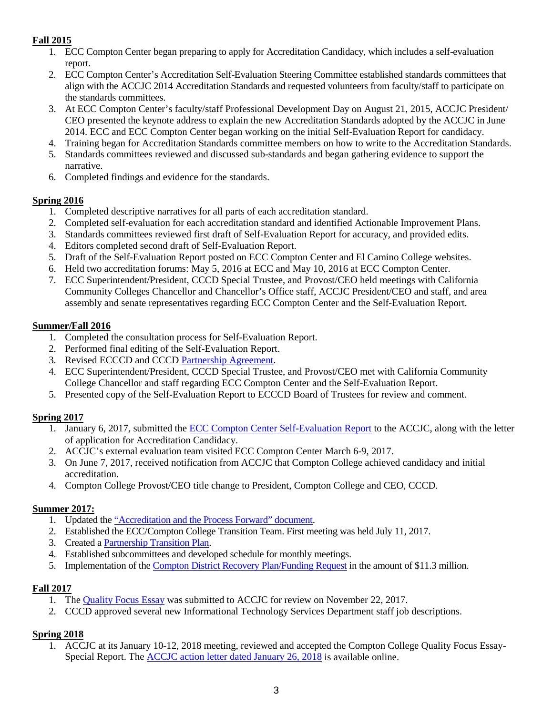# **Fall 2015**

- 1. ECC Compton Center began preparing to apply for Accreditation Candidacy, which includes a self-evaluation report.
- 2. ECC Compton Center's Accreditation Self-Evaluation Steering Committee established standards committees that align with the ACCJC 2014 Accreditation Standards and requested volunteers from faculty/staff to participate on the standards committees.
- 3. At ECC Compton Center's faculty/staff Professional Development Day on August 21, 2015, ACCJC President/ CEO presented the keynote address to explain the new Accreditation Standards adopted by the ACCJC in June 2014. ECC and ECC Compton Center began working on the initial Self-Evaluation Report for candidacy.
- 4. Training began for Accreditation Standards committee members on how to write to the Accreditation Standards.
- 5. Standards committees reviewed and discussed sub-standards and began gathering evidence to support the narrative.
- 6. Completed findings and evidence for the standards.

# **Spring 2016**

- 1. Completed descriptive narratives for all parts of each accreditation standard.
- 2. Completed self-evaluation for each accreditation standard and identified Actionable Improvement Plans.
- 3. Standards committees reviewed first draft of Self-Evaluation Report for accuracy, and provided edits.
- 4. Editors completed second draft of Self-Evaluation Report.
- 5. Draft of the Self-Evaluation Report posted on ECC Compton Center and El Camino College websites.
- 6. Held two accreditation forums: May 5, 2016 at ECC and May 10, 2016 at ECC Compton Center.
- 7. ECC Superintendent/President, CCCD Special Trustee, and Provost/CEO held meetings with California Community Colleges Chancellor and Chancellor's Office staff, ACCJC President/CEO and staff, and area assembly and senate representatives regarding ECC Compton Center and the Self-Evaluation Report.

# **Summer/Fall 2016**

- 1. Completed the consultation process for Self-Evaluation Report.
- 2. Performed final editing of the Self-Evaluation Report.
- 3. Revised ECCCD and CCCD [Partnership Agreement.](http://www.district.compton.edu/history/docs/ECCCD-CCCD-Agreement-113016.pdf)
- 4. ECC Superintendent/President, CCCD Special Trustee, and Provost/CEO met with California Community College Chancellor and staff regarding ECC Compton Center and the Self-Evaluation Report.
- 5. Presented copy of the Self-Evaluation Report to ECCCD Board of Trustees for review and comment.

# **Spring 2017**

- 1. January 6, 2017, submitted the [ECC Compton Center Self-Evaluation Report](http://www.compton.edu/campusinformation/accreditation/2017-ComptonCenter-SelfEval-Report.pdf) to the ACCJC, along with the letter of application for Accreditation Candidacy.
- 2. ACCJC's external evaluation team visited ECC Compton Center March 6-9, 2017.
- 3. On June 7, 2017, received notification from ACCJC that Compton College achieved candidacy and initial accreditation.
- 4. Compton College Provost/CEO title change to President, Compton College and CEO, CCCD.

## **Summer 2017:**

- 1. Updated th[e "Accreditation and the Process Forward" document.](http://www.elcamino.edu/administration/vpaa/accreditation/docs/accreditation-process-forward-July2017.pdf)
- 2. Established the ECC/Compton College Transition Team. First meeting was held July 11, 2017.
- 3. Created a [Partnership Transition Plan.](http://www.compton.edu/adminandoperations/provostceo/Documents/Partnership-Transition-Plan-2016-2021.pdf)
- 4. Established subcommittees and developed schedule for monthly meetings.
- 5. Implementation of the [Compton District Recovery Plan/Funding Request](http://district.compton.edu/administration/docs/Funding-Request-CCCD.pdf) in the amount of \$11.3 million.

# **Fall 2017**

- 1. The [Quality Focus Essay](http://www.compton.edu/campusinformation/accreditation/docs/Compton-College-QFE-Special-Report-FINAL.pdf) was submitted to ACCJC for review on November 22, 2017.
- 2. CCCD approved several new Informational Technology Services Department staff job descriptions.

## **Spring 2018**

1. ACCJC at its January 10-12, 2018 meeting, reviewed and accepted the Compton College Quality Focus Essay-Special Report. The [ACCJC action letter dated January 26, 2018](http://www.compton.edu/campusinformation/accreditation/docs/Compton-College_ACCJC-Letter-012618.pdf) is available online.